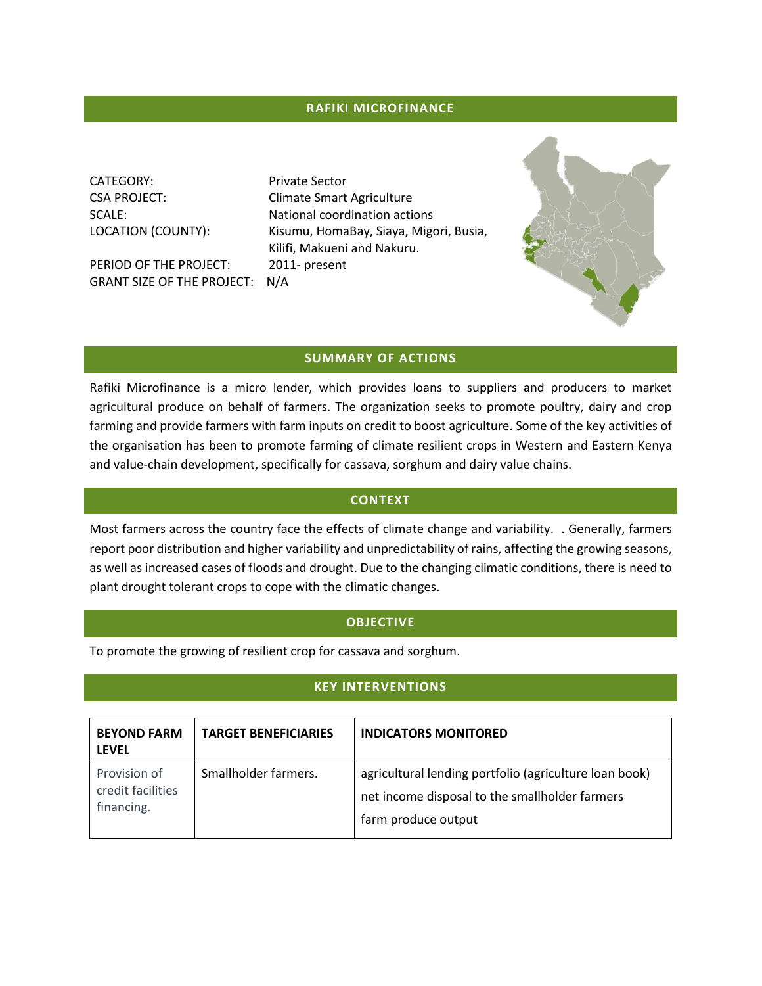## **RAFIKI MICROFINANCE**

CATEGORY: Private Sector

PERIOD OF THE PROJECT: 2011- present GRANT SIZE OF THE PROJECT: N/A

CSA PROJECT: CSA PROJECT: SCALE: National coordination actions LOCATION (COUNTY): Kisumu, HomaBay, Siaya, Migori, Busia, Kilifi, Makueni and Nakuru.



#### **SUMMARY OF ACTIONS**

Rafiki Microfinance is a micro lender, which provides loans to suppliers and producers to market agricultural produce on behalf of farmers. The organization seeks to promote poultry, dairy and crop farming and provide farmers with farm inputs on credit to boost agriculture. Some of the key activities of the organisation has been to promote farming of climate resilient crops in Western and Eastern Kenya and value-chain development, specifically for cassava, sorghum and dairy value chains.

## **CONTEXT**

Most farmers across the country face the effects of climate change and variability. . Generally, farmers report poor distribution and higher variability and unpredictability of rains, affecting the growing seasons, as well as increased cases of floods and drought. Due to the changing climatic conditions, there is need to plant drought tolerant crops to cope with the climatic changes.

## **OBJECTIVE**

To promote the growing of resilient crop for cassava and sorghum.

## **KEY INTERVENTIONS**

| <b>BEYOND FARM</b><br><b>LEVEL</b>              | <b>TARGET BENEFICIARIES</b> | <b>INDICATORS MONITORED</b>                                                                                                     |
|-------------------------------------------------|-----------------------------|---------------------------------------------------------------------------------------------------------------------------------|
| Provision of<br>credit facilities<br>financing. | Smallholder farmers.        | agricultural lending portfolio (agriculture loan book)<br>net income disposal to the smallholder farmers<br>farm produce output |